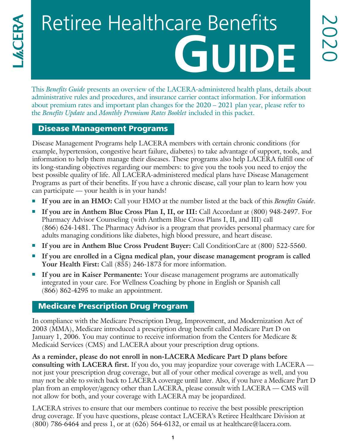# Retiree Healthcare Benefits **GUIDE**

This *Benefits Guide* presents an overview of the LACERA-administered health plans, details about administrative rules and procedures, and insurance carrier contact information. For information about premium rates and important plan changes for the 2020 – 2021 plan year, please refer to the *Benefits Update* and *Monthly Premium Rates Booklet* included in this packet.

## Disease Management Programs

Disease Management Programs help LACERA members with certain chronic conditions (for example, hypertension, congestive heart failure, diabetes) to take advantage of support, tools, and information to help them manage their diseases. These programs also help LACERA fulfill one of its long-standing objectives regarding our members: to give you the tools you need to enjoy the best possible quality of life. All LACERA-administered medical plans have Disease Management Programs as part of their benefits. If you have a chronic disease, call your plan to learn how you can participate — your health is in your hands!

- <sup>n</sup> **If you are in an HMO:** Call your HMO at the number listed at the back of this *Benefits Guide*.
- <sup>n</sup> **If you are in Anthem Blue Cross Plan I, II, or III:** Call Accordant at (800) 948-2497. For Pharmacy Advisor Counseling (with Anthem Blue Cross Plans I, II, and III) call (866) 624-1481. The Pharmacy Advisor is a program that provides personal pharmacy care for adults managing conditions like diabetes, high blood pressure, and heart disease.
- <sup>n</sup> **If you are in Anthem Blue Cross Prudent Buyer:** Call ConditionCare at (800) 522-5560.
- **If you are enrolled in a Cigna medical plan, your disease management program is called Your Health First:** Call (855) 246-1873 for more information.
- <sup>n</sup> **If you are in Kaiser Permanente:** Your disease management programs are automatically integrated in your care. For Wellness Coaching by phone in English or Spanish call (866) 862-4295 to make an appointment.

#### Medicare Prescription Drug Program

In compliance with the Medicare Prescription Drug, Improvement, and Modernization Act of 2003 (MMA), Medicare introduced a prescription drug benefit called Medicare Part D on January 1, 2006. You may continue to receive information from the Centers for Medicare & Medicaid Services (CMS) and LACERA about your prescription drug options.

**As a reminder, please do not enroll in non-LACERA Medicare Part D plans before consulting with LACERA first.** If you do, you may jeopardize your coverage with LACERA not just your prescription drug coverage, but all of your other medical coverage as well, and you may not be able to switch back to LACERA coverage until later. Also, if you have a Medicare Part D plan from an employer/agency other than LACERA, please consult with LACERA — CMS will not allow for both, and your coverage with LACERA may be jeopardized.

LACERA strives to ensure that our members continue to receive the best possible prescription drug coverage. If you have questions, please contact LACERA's Retiree Healthcare Division at  $(800)$  786-6464 and press 1, or at  $(626)$  564-6132, or email us at healthcare@lacera.com.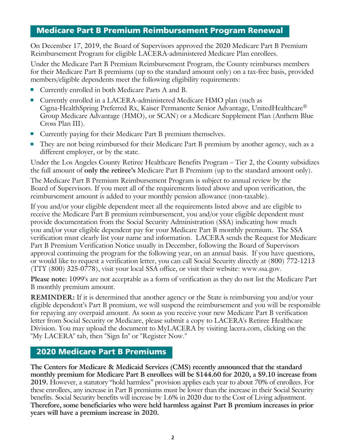#### Medicare Part B Premium Reimbursement Program Renewal

On December 17, 2019, the Board of Supervisors approved the 2020 Medicare Part B Premium Reimbursement Program for eligible LACERA-administered Medicare Plan enrollees.

Under the Medicare Part B Premium Reimbursement Program, the County reimburses members for their Medicare Part B premiums (up to the standard amount only) on a tax-free basis, provided members/eligible dependents meet the following eligibility requirements:

- Currently enrolled in both Medicare Parts A and B.
- <sup>n</sup> Currently enrolled in a LACERA-administered Medicare HMO plan (such as Cigna-HealthSpring Preferred Rx, Kaiser Permanente Senior Advantage, UnitedHealthcare® Group Medicare Advantage (HMO), or SCAN) or a Medicare Supplement Plan (Anthem Blue Cross Plan III).
- Currently paying for their Medicare Part B premium themselves.
- <sup>n</sup> They are not being reimbursed for their Medicare Part B premium by another agency, such as a different employer, or by the state.

Under the Los Angeles County Retiree Healthcare Benefits Program – Tier 2, the County subsidizes the full amount of **only the retiree's** Medicare Part B Premium (up to the standard amount only).

The Medicare Part B Premium Reimbursement Program is subject to annual review by the Board of Supervisors. If you meet all of the requirements listed above and upon verification, the reimbursement amount is added to your monthly pension allowance (non-taxable).

If you and/or your eligible dependent meet all the requirements listed above and are eligible to receive the Medicare Part B premium reimbursement, you and/or your eligible dependent must provide documentation from the Social Security Administration (SSA) indicating how much you and/or your eligible dependent pay for your Medicare Part B monthly premium. The SSA verification must clearly list your name and information. LACERA sends the Request for Medicare Part B Premium Verification Notice usually in December, following the Board of Supervisors approval continuing the program for the following year, on an annual basis. If you have questions, or would like to request a verification letter, you can call Social Security directly at (800) 772-1213 (TTY (800) 325-0778), visit your local SSA office, or visit their website: www.ssa.gov.

**Please note:** 1099's are not acceptable as a form of verification as they do not list the Medicare Part B monthly premium amount.

**REMINDER:** If it is determined that another agency or the State is reimbursing you and/or your eligible dependent's Part B premium, we will suspend the reimbursement and you will be responsible for repaying any overpaid amount. As soon as you receive your new Medicare Part B verification letter from Social Security or Medicare, please submit a copy to LACERA's Retiree Healthcare Division. You may upload the document to MyLACERA by visiting lacera.com, clicking on the "My LACERA" tab, then "Sign In" or "Register Now."

#### 2020 Medicare Part B Premiums

**The Centers for Medicare & Medicaid Services (CMS) recently announced that the standard monthly premium for Medicare Part B enrollees will be \$144.60 for 2020, a \$9.10 increase from 2019.** However, a statutory "hold harmless" provision applies each year to about 70% of enrollees. For these enrollees, any increase in Part B premiums must be lower than the increase in their Social Security benefits. Social Security benefits will increase by 1.6% in 2020 due to the Cost of Living adjustment. **Therefore, some beneficiaries who were held harmless against Part B premium increases in prior years will have a premium increase in 2020.**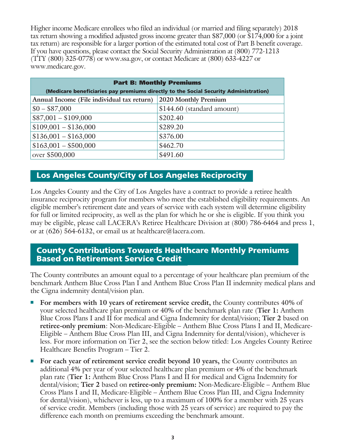Higher income Medicare enrollees who filed an individual (or married and filing separately) 2018 tax return showing a modified adjusted gross income greater than \$87,000 (or \$174,000 for a joint tax return) are responsible for a larger portion of the estimated total cost of Part B benefit coverage. If you have questions, please contact the Social Security Administration at (800) 772-1213 (TTY (800) 325-0778) or www.ssa.gov, or contact Medicare at (800) 633-4227 or www.medicare.gov.

| <b>Part B: Monthly Premiums</b>                                                      |                            |  |  |
|--------------------------------------------------------------------------------------|----------------------------|--|--|
| (Medicare beneficiaries pay premiums directly to the Social Security Administration) |                            |  |  |
| Annual Income (File individual tax return)                                           | 2020 Monthly Premium       |  |  |
| $$0 - $87,000$                                                                       | \$144.60 (standard amount) |  |  |
| $$87,001 - $109,000$                                                                 | \$202.40                   |  |  |
| $$109,001 - $136,000$                                                                | \$289.20                   |  |  |
| $$136,001 - $163,000$                                                                | \$376.00                   |  |  |
| $$163,001 - $500,000$                                                                | \$462.70                   |  |  |
| over \$500,000                                                                       | \$491.60                   |  |  |

## Los Angeles County/City of Los Angeles Reciprocity

Los Angeles County and the City of Los Angeles have a contract to provide a retiree health insurance reciprocity program for members who meet the established eligibility requirements. An eligible member's retirement date and years of service with each system will determine eligibility for full or limited reciprocity, as well as the plan for which he or she is eligible. If you think you may be eligible, please call LACERA's Retiree Healthcare Division at (800) 786-6464 and press 1, or at (626) 564-6132, or email us at healthcare@lacera.com.

i.

 $\overline{\phantom{a}}$ 

#### County Contributions Towards Healthcare Monthly Premiums Based on Retirement Service Credit

The County contributes an amount equal to a percentage of your healthcare plan premium of the benchmark Anthem Blue Cross Plan I and Anthem Blue Cross Plan II indemnity medical plans and the Cigna indemnity dental/vision plan.

- <sup>n</sup> **For members with 10 years of retirement service credit,** the County contributes 40% of your selected healthcare plan premium or 40% of the benchmark plan rate (**Tier 1:** Anthem Blue Cross Plans I and II for medical and Cigna Indemnity for dental/vision; **Tier 2** based on **retiree-only premium**: Non-Medicare-Eligible – Anthem Blue Cross Plans I and II, Medicare-Eligible – Anthem Blue Cross Plan III, and Cigna Indemnity for dental/vision), whichever is less. For more information on Tier 2, see the section below titled: Los Angeles County Retiree Healthcare Benefits Program – Tier 2.
- <sup>n</sup> **For each year of retirement service credit beyond 10 years,** the County contributes an additional 4% per year of your selected healthcare plan premium or 4% of the benchmark plan rate (**Tier 1:** Anthem Blue Cross Plans I and II for medical and Cigna Indemnity for dental/vision; **Tier 2** based on **retiree-only premium:** Non-Medicare-Eligible – Anthem Blue Cross Plans I and II, Medicare-Eligible – Anthem Blue Cross Plan III, and Cigna Indemnity for dental/vision), whichever is less, up to a maximum of 100% for a member with 25 years of service credit. Members (including those with 25 years of service) are required to pay the difference each month on premiums exceeding the benchmark amount.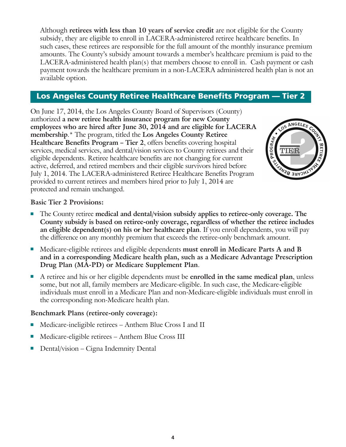Although **retirees with less than 10 years of service credit** are not eligible for the County subsidy, they are eligible to enroll in LACERA-administered retiree healthcare benefits. In such cases, these retirees are responsible for the full amount of the monthly insurance premium amounts. The County's subsidy amount towards a member's healthcare premium is paid to the LACERA-administered health plan(s) that members choose to enroll in. Cash payment or cash payment towards the healthcare premium in a non-LACERA administered health plan is not an available option.

## Los Angeles County Retiree Healthcare Benefits Program — Tier 2

On June 17, 2014, the Los Angeles County Board of Supervisors (County) authorized **a new retiree health insurance program for new County employees who are hired after June 30, 2014 and are eligible for LACERA membership**.\* The program, titled the **Los Angeles County Retiree Healthcare Benefits Program – Tier 2**, offers benefits covering hospital services, medical services, and dental/vision services to County retirees and their eligible dependents. Retiree healthcare benefits are not changing for current active, deferred, and retired members and their eligible survivors hired before July 1, 2014. The LACERA-administered Retiree Healthcare Benefits Program provided to current retirees and members hired prior to July 1, 2014 are protected and remain unchanged.



#### **Basic Tier 2 Provisions:**

- <sup>n</sup> The County retiree **medical and dental/vision subsidy applies to retiree-only coverage. The County subsidy is based on retiree-only coverage, regardless of whether the retiree includes an eligible dependent(s) on his or her healthcare plan**. If you enroll dependents, you will pay the difference on any monthly premium that exceeds the retiree-only benchmark amount.
- <sup>n</sup> Medicare-eligible retirees and eligible dependents **must enroll in Medicare Parts A and B and in a corresponding Medicare health plan, such as a Medicare Advantage Prescription Drug Plan (MA-PD) or Medicare Supplement Plan**.
- <sup>n</sup> A retiree and his or her eligible dependents must be **enrolled in the same medical plan**, unless some, but not all, family members are Medicare-eligible. In such case, the Medicare-eligible individuals must enroll in a Medicare Plan and non-Medicare-eligible individuals must enroll in the corresponding non-Medicare health plan.

#### **Benchmark Plans (retiree-only coverage):**

- Medicare-ineligible retirees Anthem Blue Cross I and II
- Medicare-eligible retirees Anthem Blue Cross III
- Dental/vision Cigna Indemnity Dental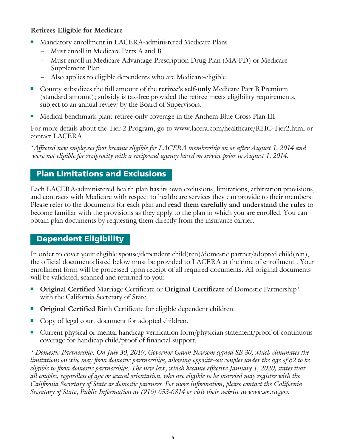#### **Retirees Eligible for Medicare**

- <sup>n</sup> Mandatory enrollment in LACERA-administered Medicare Plans
	- Must enroll in Medicare Parts A and B
	- Must enroll in Medicare Advantage Prescription Drug Plan (MA-PD) or Medicare Supplement Plan
	- Also applies to eligible dependents who are Medicare-eligible
- <sup>n</sup> County subsidizes the full amount of the **retiree's self-only** Medicare Part B Premium (standard amount); subsidy is tax-free provided the retiree meets eligibility requirements, subject to an annual review by the Board of Supervisors.
- <sup>n</sup> Medical benchmark plan: retiree-only coverage in the Anthem Blue Cross Plan III

For more details about the Tier 2 Program, go to www.lacera.com/healthcare/RHC-Tier2.html or contact LACERA.

*\*Affected new employees first became eligible for LACERA membership on or after August 1, 2014 and were not eligible for reciprocity with a reciprocal agency based on service prior to August 1, 2014.*

# Plan Limitations and Exclusions

Each LACERA-administered health plan has its own exclusions, limitations, arbitration provisions, and contracts with Medicare with respect to healthcare services they can provide to their members. Please refer to the documents for each plan and **read them carefully and understand the rules** to become familiar with the provisions as they apply to the plan in which you are enrolled. You can obtain plan documents by requesting them directly from the insurance carrier.

# Dependent Eligibility

In order to cover your eligible spouse/dependent child(ren)/domestic partner/adopted child(ren), the official documents listed below must be provided to LACERA at the time of enrollment . Your enrollment form will be processed upon receipt of all required documents. All original documents will be validated, scanned and returned to you:

- **Original Certified** Marriage Certificate or **Original Certificate** of Domestic Partnership\* with the California Secretary of State.
- **Original Certified** Birth Certificate for eligible dependent children.
- Copy of legal court document for adopted children.
- <sup>n</sup> Current physical or mental handicap verification form/physician statement/proof of continuous coverage for handicap child/proof of financial support.

*\* Domestic Partnership: On July 30, 2019, Governor Gavin Newsom signed SB 30, which eliminates the limitations on who may form domestic partnerships, allowing opposite-sex couples under the age of 62 to be eligible to form domestic partnerships. The new law, which became effective January 1, 2020, states that all couples, regardless of age or sexual orientation, who are eligible to be married may register with the California Secretary of State as domestic partners. For more information, please contact the California Secretary of State, Public Information at (916) 653-6814 or visit their website at www.sos.ca.gov.*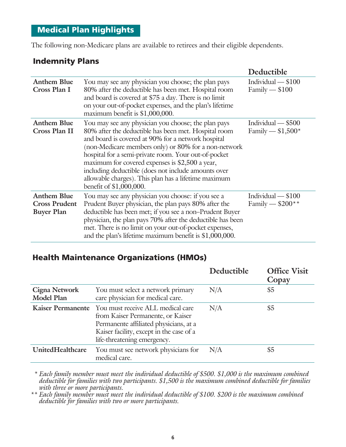## Medical Plan Highlights

The following non-Medicare plans are available to retirees and their eligible dependents.

## Indemnity Plans

|                                                                 |                                                                                                                                                                                                                                                                                                                                                                                                                                                                                | Deductible                               |
|-----------------------------------------------------------------|--------------------------------------------------------------------------------------------------------------------------------------------------------------------------------------------------------------------------------------------------------------------------------------------------------------------------------------------------------------------------------------------------------------------------------------------------------------------------------|------------------------------------------|
| <b>Anthem Blue</b><br>Cross Plan I                              | You may see any physician you choose; the plan pays<br>80% after the deductible has been met. Hospital room<br>and board is covered at \$75 a day. There is no limit<br>on your out-of-pocket expenses, and the plan's lifetime<br>maximum benefit is \$1,000,000.                                                                                                                                                                                                             | Individual $- $100$<br>$Family - $100$   |
| <b>Anthem Blue</b><br>Cross Plan II                             | You may see any physician you choose; the plan pays<br>80% after the deductible has been met. Hospital room<br>and board is covered at 90% for a network hospital<br>(non-Medicare members only) or 80% for a non-network<br>hospital for a semi-private room. Your out-of-pocket<br>maximum for covered expenses is \$2,500 a year,<br>including deductible (does not include amounts over<br>allowable charges). This plan has a lifetime maximum<br>benefit of \$1,000,000. | Individual - \$500<br>Family $- $1,500*$ |
| <b>Anthem Blue</b><br><b>Cross Prudent</b><br><b>Buyer Plan</b> | You may see any physician you choose: if you see a<br>Prudent Buyer physician, the plan pays 80% after the<br>deductible has been met; if you see a non-Prudent Buyer<br>physician, the plan pays 70% after the deductible has been<br>met. There is no limit on your out-of-pocket expenses,<br>and the plan's lifetime maximum benefit is \$1,000,000.                                                                                                                       | Individual - \$100<br>Family $-$ \$200** |

## Health Maintenance Organizations (HMOs)

|                                           |                                                                                                                                                                                                               | Deductible | <b>Office Visit</b><br>Copay |
|-------------------------------------------|---------------------------------------------------------------------------------------------------------------------------------------------------------------------------------------------------------------|------------|------------------------------|
| <b>Cigna Network</b><br><b>Model Plan</b> | You must select a network primary<br>care physician for medical care.                                                                                                                                         | N/A        | \$5                          |
|                                           | Kaiser Permanente You must receive ALL medical care<br>from Kaiser Permanente, or Kaiser<br>Permanente affiliated physicians, at a<br>Kaiser facility, except in the case of a<br>life-threatening emergency. | N/A        | \$5                          |
| UnitedHealthcare                          | You must see network physicians for<br>medical care.                                                                                                                                                          | N/A        | \$5                          |

 *\* Each family member must meet the individual deductible of \$500. \$1,000 is the maximum combined deductible for families with two participants. \$1,500 is the maximum combined deductible for families with three or more participants.* 

*\*\* Each family member must meet the individual deductible of \$100. \$200 is the maximum combined deductible for families with two or more participants.*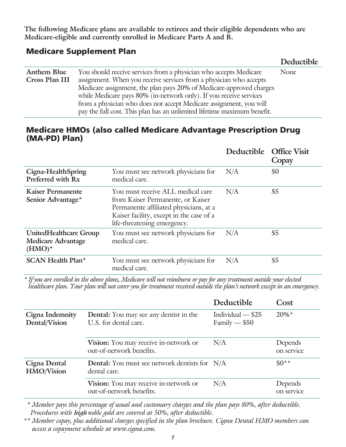**The following Medicare plans are available to retirees and their eligible dependents who are Medicare-eligible and currently enrolled in Medicare Parts A and B.**

## Medicare Supplement Plan

|                    |                                                                         | <b>Deductible</b> |
|--------------------|-------------------------------------------------------------------------|-------------------|
| <b>Anthem Blue</b> | You should receive services from a physician who accepts Medicare       | None              |
| Cross Plan III     | assignment. When you receive services from a physician who accepts      |                   |
|                    | Medicare assignment, the plan pays 20% of Medicare-approved charges     |                   |
|                    | while Medicare pays 80% (in-network only). If you receive services      |                   |
|                    | from a physician who does not accept Medicare assignment, you will      |                   |
|                    | pay the full cost. This plan has an unlimited lifetime maximum benefit. |                   |

## Medicare HMOs (also called Medicare Advantage Prescription Drug (MA-PD) Plan)

|                                                                         |                                                                                                                                                                                             | Deductible Office Visit | Copay |
|-------------------------------------------------------------------------|---------------------------------------------------------------------------------------------------------------------------------------------------------------------------------------------|-------------------------|-------|
| Cigna-HealthSpring<br>Preferred with Rx                                 | You must see network physicians for<br>medical care.                                                                                                                                        | N/A                     | \$0   |
| <b>Kaiser Permanente</b><br>Senior Advantage*                           | You must receive ALL medical care<br>from Kaiser Permanente, or Kaiser<br>Permanente affiliated physicians, at a<br>Kaiser facility, except in the case of a<br>life-threatening emergency. | N/A                     | \$5   |
| <b>UnitedHealthcare Group</b><br><b>Medicare Advantage</b><br>$(HMO)^*$ | You must see network physicians for<br>medical care.                                                                                                                                        | N/A                     | \$5   |
| <b>SCAN Health Plan*</b>                                                | You must see network physicians for<br>medical care.                                                                                                                                        | N/A                     | \$5   |

*\* If you are enrolled in the above plans, Medicare will not reimburse or pay for any treatment outside your elected healthcare plan. Your plan will not cover you for treatment received outside the plan's network except in an emergency.*

|                                   |                                                                        | Deductible                          | Cost                  |
|-----------------------------------|------------------------------------------------------------------------|-------------------------------------|-----------------------|
| Cigna Indemnity<br>Dental/Vision  | <b>Dental:</b> You may see any dentist in the<br>U.S. for dental care. | Individual - \$25<br>$Family = $50$ | $20\%*$               |
|                                   | Vision: You may receive in-network or<br>out-of-network benefits.      | N/A                                 | Depends<br>on service |
| Cigna Dental<br><b>HMO/Vision</b> | <b>Dental:</b> You must see network dentists for N/A<br>dental care.   |                                     | $$0**$$               |
|                                   | Vision: You may receive in-network or<br>out-of-network benefits.      | N/A                                 | Depends<br>on service |

*\* Member pays this percentage of usual and customary charges and the plan pays 80%, after deductible. Procedures with high noble gold are covered at 50%, after deductible.* 

*\*\* Member copay, plus additional charges specified in the plan brochure. Cigna Dental HMO members can access a copayment schedule at www.cigna.com.*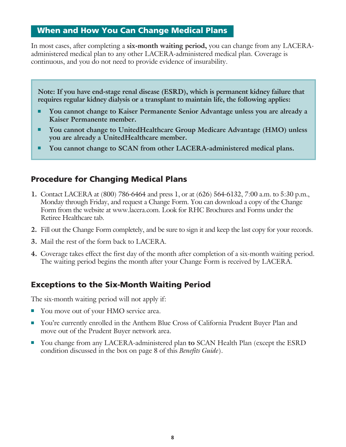#### When and How You Can Change Medical Plans

In most cases, after completing a **six-month waiting period,** you can change from any LACERAadministered medical plan to any other LACERA-administered medical plan. Coverage is continuous, and you do not need to provide evidence of insurability.

**Note: If you have end-stage renal disease (ESRD), which is permanent kidney failure that requires regular kidney dialysis or a transplant to maintain life, the following applies:**

- You cannot change to Kaiser Permanente Senior Advantage unless you are already a **Kaiser Permanente member.**
- You cannot change to UnitedHealthcare Group Medicare Advantage (HMO) unless **you are already a UnitedHealthcare member.**
- You cannot change to SCAN from other LACERA-administered medical plans.

## Procedure for Changing Medical Plans

- **1.** Contact LACERA at (800) 786-6464 and press 1, or at (626) 564-6132, 7:00 a.m. to 5:30 p.m., Monday through Friday, and request a Change Form. You can download a copy of the Change Form from the website at www.lacera.com. Look for RHC Brochures and Forms under the Retiree Healthcare tab.
- **2.** Fill out the Change Form completely, and be sure to sign it and keep the last copy for your records.
- **3.** Mail the rest of the form back to LACERA.
- **4.** Coverage takes effect the first day of the month after completion of a six-month waiting period. The waiting period begins the month after your Change Form is received by LACERA.

## Exceptions to the Six-Month Waiting Period

The six-month waiting period will not apply if:

- You move out of your HMO service area.
- You're currently enrolled in the Anthem Blue Cross of California Prudent Buyer Plan and move out of the Prudent Buyer network area.
- <sup>n</sup> You change from any LACERA-administered plan **to** SCAN Health Plan (except the ESRD condition discussed in the box on page 8 of this *Benefits Guide*).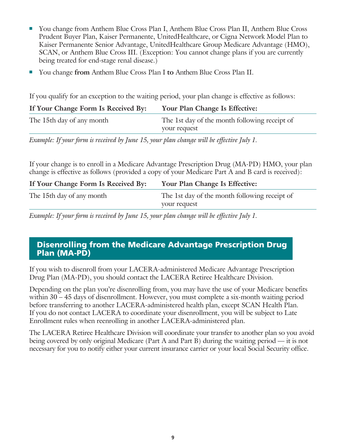- <sup>n</sup> You change from Anthem Blue Cross Plan I, Anthem Blue Cross Plan II, Anthem Blue Cross Prudent Buyer Plan, Kaiser Permanente, UnitedHealthcare, or Cigna Network Model Plan to Kaiser Permanente Senior Advantage, UnitedHealthcare Group Medicare Advantage (HMO), SCAN, or Anthem Blue Cross III. (Exception: You cannot change plans if you are currently being treated for end-stage renal disease.)
- <sup>n</sup> You change **from** Anthem Blue Cross Plan I **to** Anthem Blue Cross Plan II.

If you qualify for an exception to the waiting period, your plan change is effective as follows:

| If Your Change Form Is Received By: | Your Plan Change Is Effective:                                |
|-------------------------------------|---------------------------------------------------------------|
| The 15th day of any month           | The 1st day of the month following receipt of<br>your request |

*Example: If your form is received by June 15, your plan change will be effective July 1.*

If your change is to enroll in a Medicare Advantage Prescription Drug (MA-PD) HMO, your plan change is effective as follows (provided a copy of your Medicare Part A and B card is received):

| If Your Change Form Is Received By: | Your Plan Change Is Effective:                |
|-------------------------------------|-----------------------------------------------|
| The 15th day of any month           | The 1st day of the month following receipt of |
|                                     | your request                                  |

*Example: If your form is received by June 15, your plan change will be effective July 1.*

## Disenrolling from the Medicare Advantage Prescription Drug Plan (MA-PD)

If you wish to disenroll from your LACERA-administered Medicare Advantage Prescription Drug Plan (MA-PD), you should contact the LACERA Retiree Healthcare Division.

Depending on the plan you're disenrolling from, you may have the use of your Medicare benefits within 30 – 45 days of disenrollment. However, you must complete a six-month waiting period before transferring to another LACERA-administered health plan, except SCAN Health Plan. If you do not contact LACERA to coordinate your disenrollment, you will be subject to Late Enrollment rules when reenrolling in another LACERA-administered plan.

The LACERA Retiree Healthcare Division will coordinate your transfer to another plan so you avoid being covered by only original Medicare (Part A and Part B) during the waiting period — it is not necessary for you to notify either your current insurance carrier or your local Social Security office.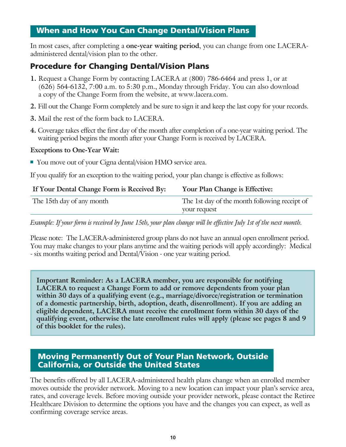#### When and How You Can Change Dental/Vision Plans

In most cases, after completing a **one-year waiting period**, you can change from one LACERAadministered dental/vision plan to the other.

## Procedure for Changing Dental/Vision Plans

- **1.** Request a Change Form by contacting LACERA at (800) 786-6464 and press 1, or at (626) 564-6132, 7:00 a.m. to 5:30 p.m., Monday through Friday. You can also download a copy of the Change Form from the website, at www.lacera.com.
- **2.** Fill out the Change Form completely and be sure to sign it and keep the last copy for your records.
- **3.** Mail the rest of the form back to LACERA.
- **4.** Coverage takes effect the first day of the month after completion of a one-year waiting period. The waiting period begins the month after your Change Form is received by LACERA.

#### **Exceptions to One-Year Wait:**

■ You move out of your Cigna dental/vision HMO service area.

If you qualify for an exception to the waiting period, your plan change is effective as follows:

| If Your Dental Change Form is Received By: | Your Plan Change is Effective:                                |
|--------------------------------------------|---------------------------------------------------------------|
| The 15th day of any month                  | The 1st day of the month following receipt of<br>your request |

*Example: If your form is received by June 15th, your plan change will be effective July 1st of the next month.*

Please note: The LACERA-administered group plans do not have an annual open enrollment period. You may make changes to your plans anytime and the waiting periods will apply accordingly: Medical - six months waiting period and Dental/Vision - one year waiting period.

**Important Reminder: As a LACERA member, you are responsible for notifying LACERA to request a Change Form to add or remove dependents from your plan within 30 days of a qualifying event (e.g., marriage/divorce/registration or termination of a domestic partnership, birth, adoption, death, disenrollment). If you are adding an eligible dependent, LACERA must receive the enrollment form within 30 days of the qualifying event, otherwise the late enrollment rules will apply (please see pages 8 and 9 of this booklet for the rules).**

## Moving Permanently Out of Your Plan Network, Outside California, or Outside the United States

The benefits offered by all LACERA-administered health plans change when an enrolled member moves outside the provider network. Moving to a new location can impact your plan's service area, rates, and coverage levels. Before moving outside your provider network, please contact the Retiree Healthcare Division to determine the options you have and the changes you can expect, as well as confirming coverage service areas.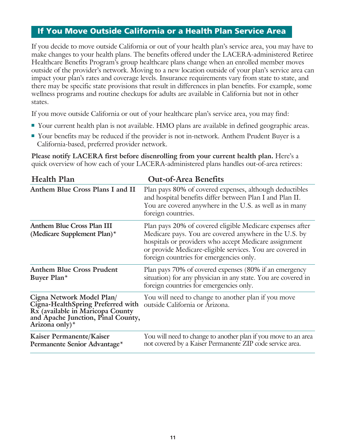#### If You Move Outside California or a Health Plan Service Area

If you decide to move outside California or out of your health plan's service area, you may have to make changes to your health plans. The benefits offered under the LACERA-administered Retiree Healthcare Benefits Program's group healthcare plans change when an enrolled member moves outside of the provider's network. Moving to a new location outside of your plan's service area can impact your plan's rates and coverage levels. Insurance requirements vary from state to state, and there may be specific state provisions that result in differences in plan benefits. For example, some wellness programs and routine checkups for adults are available in California but not in other states.

If you move outside California or out of your healthcare plan's service area, you may find:

- <sup>n</sup> Your current health plan is not available. HMO plans are available in defined geographic areas.
- Your benefits may be reduced if the provider is not in-network. Anthem Prudent Buyer is a California-based, preferred provider network.

**Please notify LACERA first before disenrolling from your current health plan.** Here's a quick overview of how each of your LACERA-administered plans handles out-of-area retirees:

| <b>Health Plan</b>                                                                                                                                            | <b>Out-of-Area Benefits</b>                                                                                                                                                                                                                                                          |  |
|---------------------------------------------------------------------------------------------------------------------------------------------------------------|--------------------------------------------------------------------------------------------------------------------------------------------------------------------------------------------------------------------------------------------------------------------------------------|--|
| Anthem Blue Cross Plans I and II                                                                                                                              | Plan pays 80% of covered expenses, although deductibles<br>and hospital benefits differ between Plan I and Plan II.<br>You are covered anywhere in the U.S. as well as in many<br>foreign countries.                                                                                 |  |
| <b>Anthem Blue Cross Plan III</b><br>(Medicare Supplement Plan) $*$                                                                                           | Plan pays 20% of covered eligible Medicare expenses after<br>Medicare pays. You are covered anywhere in the U.S. by<br>hospitals or providers who accept Medicare assignment<br>or provide Medicare-eligible services. You are covered in<br>foreign countries for emergencies only. |  |
| <b>Anthem Blue Cross Prudent</b><br>Buyer Plan*                                                                                                               | Plan pays 70% of covered expenses (80% if an emergency<br>situation) for any physician in any state. You are covered in<br>foreign countries for emergencies only.                                                                                                                   |  |
| Cigna Network Model Plan/<br>Cigna-HealthSpring Preferred with<br>Rx (available in Maricopa County<br>and Apache Junction, Pinal County,<br>Arizona only) $*$ | You will need to change to another plan if you move<br>outside California or Arizona.                                                                                                                                                                                                |  |
| Kaiser Permanente/Kaiser<br>Permanente Senior Advantage*                                                                                                      | You will need to change to another plan if you move to an area<br>not covered by a Kaiser Permanente ZIP code service area.                                                                                                                                                          |  |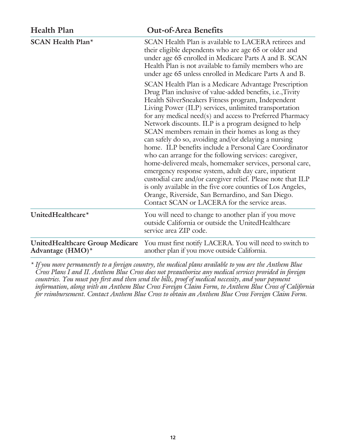| <b>Health Plan</b>                                            | <b>Out-of-Area Benefits</b>                                                                                                                                                                                                                                                                                                                                                                                                                                                                                                                                                                                                                                                                                                                                                                                                                                                                                                                      |
|---------------------------------------------------------------|--------------------------------------------------------------------------------------------------------------------------------------------------------------------------------------------------------------------------------------------------------------------------------------------------------------------------------------------------------------------------------------------------------------------------------------------------------------------------------------------------------------------------------------------------------------------------------------------------------------------------------------------------------------------------------------------------------------------------------------------------------------------------------------------------------------------------------------------------------------------------------------------------------------------------------------------------|
| <b>SCAN Health Plan*</b>                                      | SCAN Health Plan is available to LACERA retirees and<br>their eligible dependents who are age 65 or older and<br>under age 65 enrolled in Medicare Parts A and B. SCAN<br>Health Plan is not available to family members who are<br>under age 65 unless enrolled in Medicare Parts A and B.                                                                                                                                                                                                                                                                                                                                                                                                                                                                                                                                                                                                                                                      |
|                                                               | SCAN Health Plan is a Medicare Advantage Prescription<br>Drug Plan inclusive of value-added benefits, i.e., Tivity<br>Health SilverSneakers Fitness program, Independent<br>Living Power (ILP) services, unlimited transportation<br>for any medical need(s) and access to Preferred Pharmacy<br>Network discounts. ILP is a program designed to help<br>SCAN members remain in their homes as long as they<br>can safely do so, avoiding and/or delaying a nursing<br>home. ILP benefits include a Personal Care Coordinator<br>who can arrange for the following services: caregiver,<br>home-delivered meals, homemaker services, personal care,<br>emergency response system, adult day care, inpatient<br>custodial care and/or caregiver relief. Please note that ILP<br>is only available in the five core counties of Los Angeles,<br>Orange, Riverside, San Bernardino, and San Diego.<br>Contact SCAN or LACERA for the service areas. |
| UnitedHealthcare*                                             | You will need to change to another plan if you move<br>outside California or outside the UnitedHealthcare<br>service area ZIP code.                                                                                                                                                                                                                                                                                                                                                                                                                                                                                                                                                                                                                                                                                                                                                                                                              |
| <b>UnitedHealthcare Group Medicare</b><br>Advantage $(HMO)^*$ | You must first notify LACERA. You will need to switch to<br>another plan if you move outside California.                                                                                                                                                                                                                                                                                                                                                                                                                                                                                                                                                                                                                                                                                                                                                                                                                                         |

*\* If you move permanently to a foreign country, the medical plans available to you are the Anthem Blue Cross Plans I and II. Anthem Blue Cross does not preauthorize any medical services provided in foreign countries. You must pay first and then send the bills, proof of medical necessity, and your payment information, along with an Anthem Blue Cross Foreign Claim Form, to Anthem Blue Cross of California for reimbursement. Contact Anthem Blue Cross to obtain an Anthem Blue Cross Foreign Claim Form.*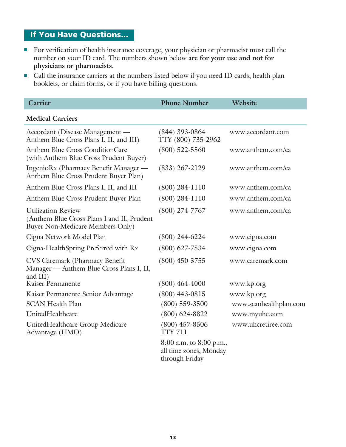# If You Have Questions...

- <sup>n</sup> For verification of health insurance coverage, your physician or pharmacist must call the number on your ID card. The numbers shown below **are for your use and not for** physicians or pharmacists.
- <sup>n</sup> Call the insurance carriers at the numbers listed below if you need ID cards, health plan booklets, or claim forms, or if you have billing questions.

| Carrier                                                                                                            | <b>Phone Number</b>                                                 | Website                |
|--------------------------------------------------------------------------------------------------------------------|---------------------------------------------------------------------|------------------------|
| <b>Medical Carriers</b>                                                                                            |                                                                     |                        |
| Accordant (Disease Management —<br>Anthem Blue Cross Plans I, II, and III)                                         | $(844)$ 393-0864<br>TTY (800) 735-2962                              | www.accordant.com      |
| <b>Anthem Blue Cross ConditionCare</b><br>(with Anthem Blue Cross Prudent Buyer)                                   | $(800)$ 522-5560                                                    | www.anthem.com/ca      |
| IngenioRx (Pharmacy Benefit Manager —<br>Anthem Blue Cross Prudent Buyer Plan)                                     | $(833)$ 267-2129                                                    | www.anthem.com/ca      |
| Anthem Blue Cross Plans I, II, and III                                                                             | $(800)$ 284-1110                                                    | www.anthem.com/ca      |
| Anthem Blue Cross Prudent Buyer Plan                                                                               | $(800)$ 284-1110                                                    | www.anthem.com/ca      |
| <b>Utilization Review</b><br>(Anthem Blue Cross Plans I and II, Prudent<br><b>Buyer Non-Medicare Members Only)</b> | $(800)$ 274-7767                                                    | www.anthem.com/ca      |
| Cigna Network Model Plan                                                                                           | $(800)$ 244-6224                                                    | www.cigna.com          |
| Cigna-HealthSpring Preferred with Rx                                                                               | $(800)$ 627-7534                                                    | www.cigna.com          |
| CVS Caremark (Pharmacy Benefit<br>Manager - Anthem Blue Cross Plans I, II,<br>and III)                             | $(800)$ 450-3755                                                    | www.caremark.com       |
| Kaiser Permanente                                                                                                  | $(800)$ 464-4000                                                    | www.kp.org             |
| Kaiser Permanente Senior Advantage                                                                                 | $(800)$ 443-0815                                                    | www.kp.org             |
| <b>SCAN Health Plan</b>                                                                                            | $(800)$ 559-3500                                                    | www.scanhealthplan.com |
| UnitedHealthcare                                                                                                   | $(800) 624 - 8822$                                                  | www.myuhc.com          |
| UnitedHealthcare Group Medicare<br>Advantage (HMO)                                                                 | $(800)$ 457-8506<br><b>TTY 711</b>                                  | www.uhcretiree.com     |
|                                                                                                                    | 8:00 a.m. to 8:00 p.m.,<br>all time zones, Monday<br>through Friday |                        |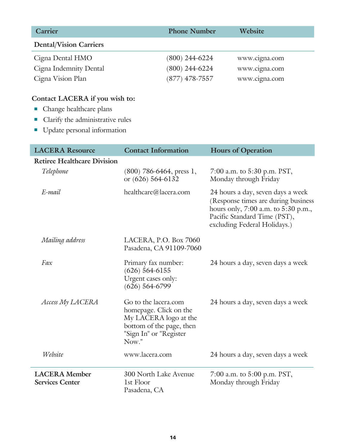| <b>Carrier</b>                | <b>Phone Number</b> | Website       |
|-------------------------------|---------------------|---------------|
| <b>Dental/Vision Carriers</b> |                     |               |
| Cigna Dental HMO              | $(800)$ 244-6224    | www.cigna.com |
| Cigna Indemnity Dental        | $(800)$ 244-6224    | www.cigna.com |
| Cigna Vision Plan             | $(877)$ 478-7557    | www.cigna.com |

# **Contact LACERA if you wish to:**

- $\blacksquare$  Change healthcare plans
- **n** Clarify the administrative rules
- Update personal information

| <b>LACERA Resource</b>                         | <b>Contact Information</b>                                                                                                             | <b>Hours of Operation</b>                                                                                                                                                       |
|------------------------------------------------|----------------------------------------------------------------------------------------------------------------------------------------|---------------------------------------------------------------------------------------------------------------------------------------------------------------------------------|
| <b>Retiree Healthcare Division</b>             |                                                                                                                                        |                                                                                                                                                                                 |
| Telephone                                      | $(800)$ 786-6464, press 1,<br>or (626) 564-6132                                                                                        | 7:00 a.m. to 5:30 p.m. PST,<br>Monday through Friday                                                                                                                            |
| E-mail                                         | healthcare@lacera.com                                                                                                                  | 24 hours a day, seven days a week<br>(Response times are during business<br>hours only, 7:00 a.m. to 5:30 p.m.,<br>Pacific Standard Time (PST),<br>excluding Federal Holidays.) |
| Mailing address                                | LACERA, P.O. Box 7060<br>Pasadena, CA 91109-7060                                                                                       |                                                                                                                                                                                 |
| Fax                                            | Primary fax number:<br>$(626) 564 - 6155$<br>Urgent cases only:<br>$(626)$ 564-6799                                                    | 24 hours a day, seven days a week                                                                                                                                               |
| Access My LACERA                               | Go to the lacera.com<br>homepage. Click on the<br>My LACERA logo at the<br>bottom of the page, then<br>"Sign In" or "Register<br>Now." | 24 hours a day, seven days a week                                                                                                                                               |
| Website                                        | www.lacera.com                                                                                                                         | 24 hours a day, seven days a week                                                                                                                                               |
| <b>LACERA</b> Member<br><b>Services Center</b> | 300 North Lake Avenue<br>1st Floor<br>Pasadena, CA                                                                                     | 7:00 a.m. to 5:00 p.m. PST,<br>Monday through Friday                                                                                                                            |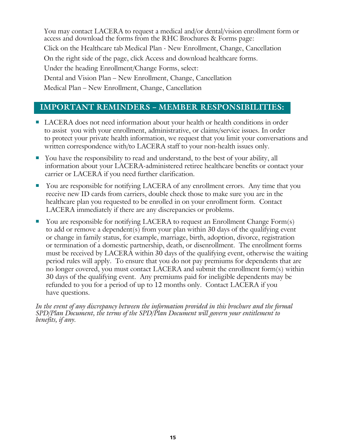You may contact LACERA to request a medical and/or dental/vision enrollment form or access and download the forms from the RHC Brochures & Forms page: Click on the Healthcare tab Medical Plan - New Enrollment, Change, Cancellation On the right side of the page, click Access and download healthcare forms. Under the heading Enrollment/Change Forms, select: Dental and Vision Plan – New Enrollment, Change, Cancellation Medical Plan – New Enrollment, Change, Cancellation

## **IMPORTANT REMINDERS – MEMBER RESPONSIBILITIES:**

- LACERA does not need information about your health or health conditions in order to assist you with your enrollment, administrative, or claims/service issues. In order to protect your private health information, we request that you limit your conversations and written correspondence with/to LACERA staff to your non-health issues only.
- You have the responsibility to read and understand, to the best of your ability, all information about your LACERA-administered retiree healthcare benefits or contact your carrier or LACERA if you need further clarification.
- You are responsible for notifying LACERA of any enrollment errors. Any time that you receive new ID cards from carriers, double check those to make sure you are in the healthcare plan you requested to be enrolled in on your enrollment form. Contact LACERA immediately if there are any discrepancies or problems.
- $\blacksquare$  You are responsible for notifying LACERA to request an Enrollment Change Form(s) to add or remove a dependent(s) from your plan within 30 days of the qualifying event or change in family status, for example, marriage, birth, adoption, divorce, registration or termination of a domestic partnership, death, or disenrollment. The enrollment forms must be received by LACERA within 30 days of the qualifying event, otherwise the waiting period rules will apply. To ensure that you do not pay premiums for dependents that are no longer covered, you must contact LACERA and submit the enrollment form(s) within 30 days of the qualifying event. Any premiums paid for ineligible dependents may be refunded to you for a period of up to 12 months only. Contact LACERA if you have questions.

*In the event of any discrepancy between the information provided in this brochure and the formal SPD/Plan Document, the terms of the SPD/Plan Document will govern your entitlement to benefits, if any.*